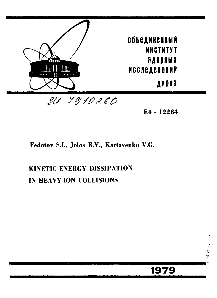

4 • 12284

**1979** 

## Fedotov S.I., Jolos R.V., Kartavenko V.G.

# KINETIC ENERGY DISSIPATION IN HEAVY-ION COLLISIONS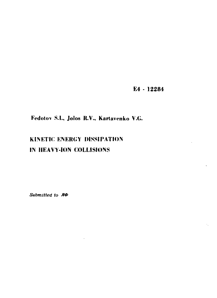E4 - 12284

## Fedotov S.I., Jolos R.V., Kartavenko V.G.

# KINETIC ENERGY DISSIPATION IN HEAVY-ION COLLISIONS

Submitted to **R** $\Phi$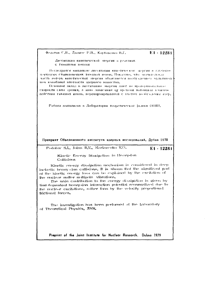Федотов С.Н., Джолос Р.В., Картавелко В.Г.

 $E1 - 122R1$ 

Двесивация книетической энергии в реакциях с тяжелыми понами

Песледуется механизм диссинации кинетической значани в глубокопоупругих столкновениях тяжелых ионов. Показано, что вначительная часть потерь канетической энергии объясняется возбужденном мультинодных колебаний илогности удерного вещества.

Основной вклад в диссинацию мергии дают не пропоряновальное скорости силы трения, а явно зависяющий от времени потенциал взаимодействия гяжелых новов, перепормированный с учетом вологуждения ятер.

Рабога выполнена в Лабоватории теоретической вилики ОИЯН.

Препринг Объединенного института ядерных исследований. Дубна 1979

Fedolov S.I., Jolos R.V., Karkivenko V.G.

E1 - 12281

Kinelic Energy Dissipation in Heavy-Ion Collisions

Kinetic energy dissipation mechanism is considered in deep inelastic heavy-ion collisions. It is shown that the significant part of the kinetic energy loss can be explained by the excitation of the nuclear matter multipole vibrations.

The main contribution to the energy dissipation is given by time dependent heavy-ion interaction potential renormalized due to the nuclear excitations, rather than by the velocity proportional frictional forces.

The investigation has been performed at the Laboratory of Theoretical Physics, JINR,

Preprint of the Joint Institute for Nuclear Research. Dubna 1979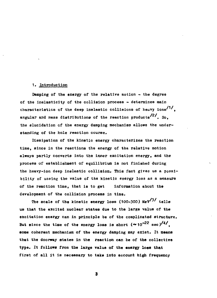#### **1. Introduction**

**Damping of the energy of the relative motion - the degree of the inelasticity of the collision process - determines main**  characteristics of the deep inelastic collisions of heavy ions<sup>/1/</sup>. **characteristics of the deep Intelastic collisions of the reaction products<sup>/2/</sup>. So.** the elucidation of the energy damping mechanism allows the understanding of the hole reaction course.

Dissipation of the kinetic energy characterizes the reaction time, since in the reactione the energy of the relative motion always partly converts into the inner excitation energy, and the process of establishment of equilibrium is not finished during the heavy-ion deep inelastic collision. This fact gives us a possibility of useing the value of the kinetic energy loss as a measure of the reaction time, that is to get information about the development of the collision process in time.

The scale of the kinetic energy loss (100-300)  $\text{MeV}^{3/2}$  tells us that the excited nuclear states due to the large value of the excitation energy can in principle be of the complicated structure. But since the time of the energy loss is short  $({\sim}10^{-22}$  sec)<sup>/4/</sup>. **BODE CONETENT DECHANIAD Of the energy damning may exist. It means** that the doorway states in the reaction can be of the collective type. It follows from the large value of the energy loss that first of all it is necessary to take into account high frequency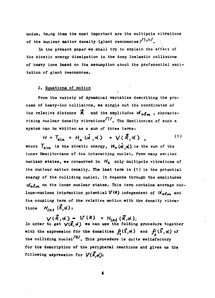modes. Anwng them the most important are the multipole vibrations of the nuclear matter density (giant resonances) $/5,6/$ .

In the present paper we shall try to explain the effect of the kinetic energy dissipation in the deep inelastic collisions of heavy ions based on the assumption about the preferential excitation of giant resonances.

#### 2. Equations of motion

Prom the variety of dynamical variables describing the process of heavy-ion collisions, we single out the coordinates of the relative distance  $\vec{R}$  and the amplitudes  $d_n \rho_m$ , characte-/ 7 / rizing nuclear density vibrations . The Hamiltonian of such a system can be written as a sum of three terms:

 $H = T_{\text{kin}} + H_{\text{a}}(\vec{\alpha}, \vec{\alpha}) + V(\vec{R}, \vec{\alpha})$ ,  $(1)$ where  $T_{\kappa m}$  is the kinetic energy,  $H_{\rho}(\alpha', \alpha')$  is the sum of the inner Hamiltoniana of the interacting nuclei. Prom many excited nuclear states, we conserved in *H0* only multipole vibrations of the nuclear matter density. The last term in (1) is the potential energy of the colliding nuclei. It depends through the amplitudes  $\alpha'$ <sub>n</sub> $\beta$ <sup>*m*</sup> on the inner nuclear states. This term contains average nucleus-nucleus interaction potential  $V(R)$  independent of  $\alpha'_{n\ell m}$  and the coupling term of the relative motion with the density vibrations  $H_{int}(\vec{k},\alpha)$ :

In order to get  $\bigvee\{R\}$  ,  $d$  ) we can use the folding procedure togethe with the expression for the densities  $\int_A(\vec{2},\alpha)$  and  $\int_A(\vec{2},\alpha)$  of the colliding nuclei<sup>/8/</sup>. This procedure is quite satisfactory for the description of the peripheral reactions and gives us the following expression for  $V(\vec{R}, \alpha)$ :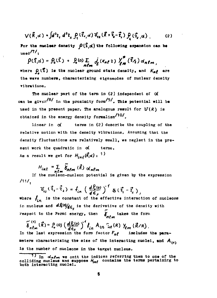$$
\mathcal{V}(\vec{R}, d) = \int d^3z_4 \ d^3z_4 \ \int_1^c (\vec{z}_1, d) \ \mathcal{V}_{12}(\vec{R} + \vec{z}_4 - \vec{t}_1) \ \int_2^c (\vec{z}_2, d) \ . \tag{2}
$$

For the nuclear density  $\rho(\hat{u}, \alpha)$  the following expansion can be  $_{\text{used}}$ /7/,

 $\rho(\vec{z},\alpha) = \rho_0(\vec{z}) + \rho_0(\alpha) \sum_{m \ell = 0} d_{\ell}(\kappa_n \ell z) Y_{\ell m}^*(\vec{z}_\ell) \alpha_{n \ell m},$ where  $\mathbf{p}(\bar{x})$  is the nuclear ground state density, and  $K_{\mathbf{a}\ell}$  are the wave numbers, characterising eigenmodes of nuclear density vibrations.

The nuclear part of the term in (2) independent of  $\alpha$ can be given<sup>/8/</sup> in the proximity form<sup>/9/</sup>. This potential will be used in the present paper. The analogous result for  $U(R)$  is obtained in the energy density formalism<sup>/10/</sup>.

Linear in  $\alpha'$ terms in (2) describe the coupling of the relative motion with the density vibrations. Assuming that the density fluctuations are relatively small, we neglect in the present work the quadratic in od terms. As a result we get for  $H_{int}(\vec{R},\alpha)$ : <sup>1)</sup>

$$
H_{int} = \sum_{n \ell m} \widetilde{\delta}_{n \ell m}(\vec{k}) \alpha_{n \ell m}
$$

If the nucleon-nucleon potential is given by the expression  $111/$ 

$$
\mathcal{V}_{12}(\vec{z}_1 - \vec{z}_2) = f_{in} \left( \frac{d f_1(o)}{d \epsilon_F} \right)^{-1} \delta(\vec{z}_1 - \vec{z}_2)
$$

where  $f_{in}$  is the constant of the effective interaction of nucleons in nucleus and  $d\mathcal{R}^{(0)}/d\varepsilon_{\varepsilon}$  is the derivative of the density with respect to the Permi energy, then  $\sum_{n=m}^{\infty}$  takes the form

 $\tilde{\delta}_{n\ell m}^{(t)}(\vec{R}) = \int_0^t (0) \left( \frac{dP_t(o)}{d\epsilon_F} \right)^{-t} \hat{f}_{in} A_{in} \Gamma_{in}^{(R)}(R) Y_{\ell m}(\vec{R}/R)$ .<br>In the last expression the form factor  $F_{n\ell}$  includes includes the parameters characterizing the size of the interacting nuclei, and  $A_{(4)}$ is the number of nucleons in the target nucleus.

<sup>1)</sup> In  $d_n \ell_m$  we omit the indices referring them to one of the colliding nucleus and suppose  $H_{int}$  contains the terms pertaining to both interacting nuclei.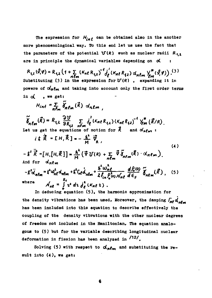The expression for  $H_{int}$  can be obtained also in the another more phenomenological way. To this end let us use the fact that the parameters of the potential  $\mathbf{U}(\mathbf{R})$  such as nuclear radii  $R_{4,2}$ are in principle the dynamical variables depending on o

 $R_{1,2}(\vartheta,\varphi) = R_{1,2} (1 + \sum_{n \ell m} (K_{n\ell} R_{1,2})^4 \frac{1}{\ell} (K_{n\ell} R_{2,2}) d_{n\ell m} \gamma_{\ell m}^{\mu} (\vartheta,\varphi))$ . (3) Substituting (3) in the expression for  $U(R)$ , expanding it in powers of  $\alpha'_{n}$  $\beta_{m}$  and taking into account only the first order terms in  $d$ , we get:

 $H_{int} = \sum_{n \ell_m} \tilde{\delta}_{n \ell_m}(\vec{k}) d_n \ell_m$ 

 $\widetilde{\delta}_{n\ell m}(\vec{R})=R_{1,2}\frac{\partial U}{\partial R_{1,2}}\sum_{n\ell m}J_{\ell}^{'}(K_{n\ell}R_{1,2})\cdot(K_{n\ell}R_{1,2})^{-1}\gamma_{\ell m}^{*}(\vec{R}/R),$ Let us get the equations of motion for  $\vec{k}$  and  $\alpha'_{n\ell m}$ :

$$
i \dot{\uparrow} \dot{\vec{R}} = \mathbf{E} H_1 \vec{R} \, \mathbf{I} = -\frac{\dot{\mathbf{A}}^2}{M} \, \vec{V}_R \,, \tag{4}
$$

$$
-\vec{\lambda}^{2}\overrightarrow{\hat{R}}=[H,[H,\vec{R}]] = \frac{\hbar^{2}}{M}(\vec{\nabla}U(R)+\sum_{n\ell m}\vec{\nabla}\tilde{\delta}_{n\ell m}(\vec{R})\cdot\Delta_{n\ell m}),
$$
  
And for  $\Delta_{n\ell m}$ 

$$
- \frac{1}{2} \ddot{d}_{n\ell m} = \frac{1}{2} \omega_{n\ell}^2 d_{n\ell m} + \frac{1}{2} \eta_{n\ell} d_{n\ell m} + \frac{\hbar^2 \omega_{n\ell}^2}{2 f_{in} \rho_{\phi}^2 \omega} \frac{d \beta_{\phi}(\omega)}{\omega_{n\ell}} \widetilde{\delta}_{n\ell m}(\vec{R}) , \quad (5)
$$
\nwhere\n
$$
\mathcal{N}_{n\ell} = \int_{0}^{R_{\ell}} \gamma^2 d\omega \frac{d}{d\epsilon} (K_{n\ell} \omega) .
$$

In deducing equation (5), the harmonic approximation for the density vibrations has been used. Moreover, the damping  $\int_{\mathcal{B}} g \, d_{\mathbf{m}\ell}$ has been included into this equation to describe effectively the coupling of the density vibrations with the other nuclear degrees of freedom not included in the Hamiltonian. The equation analogous to (5) but for the variable describing longitudinal nuclear deformation in fission has been analyzed in /12/.

Solving (5) with respect to  $\alpha_{n\ell m}$  and substituting the result into  $(4)$ , we get: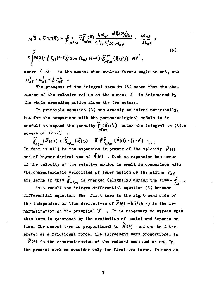$$
M\ddot{\vec{R}} + \vec{v} \, U(\vec{R}) = \frac{2}{\hbar} \sum_{n \ell m} \vec{v} \tilde{b}^{\prime}_{n \ell m} \frac{(\vec{R})}{4f_{in} \rho_{e}^2} \frac{\hbar \omega_{n\ell} d\hat{F}_{e}(0)}{\sqrt{n_{e}}} \cdot \frac{\omega_{n\ell}}{\Omega_{n\ell}} \times
$$
\n
$$
x \int_{0}^{t} exp\left(-\frac{1}{\hbar} \int_{n\ell} (t-t') \sin \Omega_{n\ell} (t-t') \cdot \tilde{b}^{\prime \prime \prime}_{n \ell m} (\vec{R}(t')) \, dt' \right), \qquad (6)
$$

where  $\dot{\mathcal{L}} = \mathbf{O}$  is the moment when nuclear forces begin to act, and  $\Omega_{ab}^2 = \omega_{ab}^2 - \frac{1}{L} \Gamma_{ab}^2$ .

The presence of the integral term in (6) means that the cha**racter of the relative motion at the moment** *t* **is determined by the whole preceding motion along the trajectory.** 

**In principle equation (6) can exactly be solved numerically, but for the comparison with the phenomenological models it is usefull to expand the quantity** *Y* **{ R u'j ) under the integral in (6) in**  , *Mm* 

**powers of**  $(t-t')$  **i**  $\widetilde{\delta}_{n\ell_m}(\vec{R}(t')) = \widetilde{\delta}_{n\ell_m}(\vec{R}(t)) - \vec{R} \cdot \widetilde{\delta}_{n\ell_m}(\vec{R}(t)) \cdot (t-t') + \dots$ In fact it will be the expansion in powers of the velocity  $\dot{\vec{R}}'$ / $\leftrightarrow$ **and of higher derivatives of** *H U)* **. Such an expansion has sense if the velocity of the relative motion is small in comparison with**  the characteristic velocities of inner motion or the widths  $\Gamma_{\mu\rho}$ are large so that  $\tilde{\delta}_{n\ell m}$  is changed (slightly) during the time  $\sim \frac{\hbar}{\sqrt{n}}$  .

**As a result the integro-differential equation (6) becomes differential equation. The first term in the right-hand side of**  (6) independent of time derivatives of  $\vec{R}(t)$  -SU( $R, t$ ) is the re $normalization of the potential  $U$  . It is necessary to stress that$ **this term is generated by the excitation of nuclei and depends on**  time. The second term is proportional to  $\dot{\vec{R}}(t)$  and can be inter**preted as a frictional force. The subsequent term proportional to** 

*Kit)* **is the renormalization of the reduced mass and so on. In the present work we consider only the first two terms. In such an**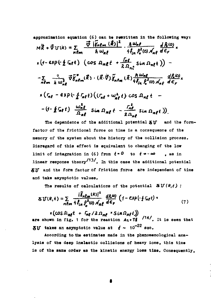approximation equation (6) can be rewritten in the following way:  
\n
$$
M\vec{R} + \vec{V}U(\vec{R}) = \sum_{n\ell m} \frac{\vec{V} \left| \int_{m\ell m} (\vec{R}) \right|^2}{\hbar w_{\ell}} \cdot \frac{\hbar \omega_{n\ell}}{4f_{\ell n} \beta_e^{2}(0)} \frac{dR(0)}{\rho_{n\ell}} \times
$$
\n
$$
x(4-\exp(-\frac{1}{\hbar} \ln \epsilon)) \cdot (\cos \Omega_{n\ell} t + \frac{\ln \epsilon}{2 \Omega_{n\ell}} \sin \Omega_{n\ell} t)) -
$$
\n
$$
- \sum_{n\ell m} \frac{2}{\hbar} \frac{3}{\omega_{n\ell}^{3}} \vec{V} \vec{S}^{*}_{n\ell m}(\vec{R}) \cdot (\vec{R} \cdot \vec{V}) \vec{S}_{n\ell m} (\vec{R}) \frac{\hbar \omega_{n\ell}}{4f_{\ell n} \beta_e^{2}(0)} \frac{d\beta_e(0)}{\rho_{n\ell}} \times
$$
\n
$$
x(r_{n\ell} - \exp(-\frac{1}{\hbar} \Gamma_{n\ell} t) \left( (r_{n\ell} + \omega_{n\ell}^{2} t) \cos \Omega_{n\ell} t -
$$
\n
$$
-(1-\frac{1}{\hbar} \Gamma_{n\ell} t) \frac{\omega_{n\ell}^{2}}{\Omega_{n\ell}} \sin \Omega_{n\ell} t - \frac{r_{n\ell}^{2}}{2 \Omega_{n\ell}} \sin \Omega_{n\ell} t) \right)
$$

The dependence of the additional potential  $\delta V$  and the formfactor of the frictional force on time is a consequence of the memory of the system about the history of the collision process. Disregard of this effect is equivalent to changing of the low limit of integration in (6) from  $t = 0$  to  $t \rightarrow -\infty$  $. as in$ linear response theory $\frac{13}{\lambda}$ . In this case the additional potential SIJ and the form factor of friction force are independent of time and take asymptotic values.

The results of calculations of the potential  $\delta U(R,t)$ :

$$
\delta U(R,t) = \sum_{n \ell m} \frac{|\tilde{\delta}_n \ell_m(R)|^2}{4 \ell_{in} \rho_o^2(\omega) A_{n\ell}} \frac{dR^2 \omega}{d\epsilon_r} \left(1 - \exp\left(-\frac{1}{2} \Gamma_{n\ell} t\right) \right) \tag{7}
$$

 $x(\cos \Omega_{m\ell}t + \int_{m\ell}/2 \Omega_{m\ell} * \sin \Omega_{m\ell}t)$ <br>are shown in fig. 1 for the reaction  $A_1 + T\ell$ , It is seen that **AU** takes an asymptotic value at  $t \sim 10^{-22}$  soc.

According to the estimates made in the phenomenological analysis of the deep inelastic collisions of heavy ions, this time is of the same order as the kinetic energy loss time. Consequently.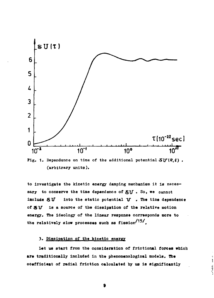

**Pig. 1.** Dependence on time of the additional potential  $\text{SU}(R, t)$ . **(arbitrary units).** 

**to inveatigate the kinetic energy damping mecbanism it is neces**sary to conserve the time dependence of  $\delta U$ . So, we cannot include  $\delta U$  into the static potential  $U$ . The time dependence **of** *SV* **is a source of the dissipation of the relative motion energy. The ideology of the linear response corresponds more to**  the relatively slow processes such as fission<sup>/15/</sup>.

#### **3. Dissipation of the kinetic energy**

**Let us start from the consideration of frlctional forces which are traditionally Included in the phenomenological models. The coefficient of radial friction oaloulated by us is significantly** 

and in  $-26$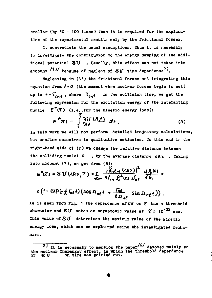**smaller (by 50 - 100 times) than it is required for the explanation of the experimental results only by the frictional forces.** 

**It contradicts the usual assumptions. Thus it is necessary to investigate the contribution to the energy damping of the additional potential 5lT . Usually, this effect was not taken into account**  $\binom{13}{}$  because of neglect of  $\delta J$  time dependence<sup>2</sup>).

**Neglecting in (6') the frictional forces and Integrating this**  equation from  $\boldsymbol{t} = \boldsymbol{0}$  (the moment when nuclear forces begin to act) up to  $t \cdot \overline{t}_{int}$ , where  $\overline{t}_{int}$  is the collision time, we get the **following expression for the excitation energy of the interacting**  nuclie  $E^*(\mathcal{I})$  (i.e., for the kinetic energy loss):

$$
E^{\ast}(\tau) = \int_{0}^{\tau} \frac{\partial U(R, t)}{\partial t} dt
$$
 (8)

**In this work we will not perform detailed trajectory calculations, but confine oureelves to qualitative estimates. To this end in the right-hand side of (8) we change the relative distance between the colliding nuclei R , by the average distance** *<Я>* **. Taking into account (7), we get from (8):** 

$$
E^{*}(\mathcal{F}) = \mathcal{S} \mathbf{U}(\langle R \rangle, \mathcal{I}) = \sum_{n \in \mathbb{N}} \frac{|\widetilde{\delta}_{n} \ell_{m}(\langle R \rangle)|^{2}}{4 f_{in} \rho_{o}^{2}(\omega) \rho_{n}^{2}} \frac{d \rho_{o}(\omega)}{d \epsilon_{r}} \times
$$

$$
\kappa (1 - \exp(-\frac{i}{\lambda} \Gamma_0 t) (\cos \Omega_{nl} t + \frac{\Gamma_n \ell}{\lambda \Omega_{nl}} \sin \Omega_{nl} t)).
$$

**As is seen from fig. 1 the dependence of SV on** *%* **has a threshold**  character and  $\delta V$  takes an asymptotic value at  $\gamma \approx 10^{-22}$  sec. **This value of SIT determines the maximum value of the kinetic energy loss, which can be explained using the Investigated mechanism.** 

<sup>&</sup>lt;sup>2</sup> It is necessary to mention the paper<sup>"</sup> devoted mainly to the nuclear Cherankov effect, in which the threshold dependence of SU on time was pointed out.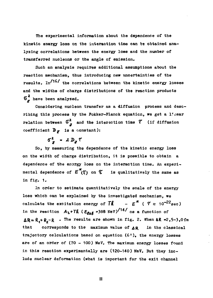**The experimental information about the dependence of the kinetic energy loss on the interaction time can be obtained analyzing correlations between the energy loss and the number of transferred nucleons or the angle of emission.** 

**Such an analysis requires additional assumptions about the reaction mechanism, thus introducing new uncertainties of the**  results. In<sup>/16/</sup> the correlations between the kinetic energy losses **and the widths of charge distributions of the reaction products 6 have been analyzed.** 

**Considering nucleon transfer as a diffusion process and describing this process by the Fokker-Flanck equation, we get a l.'iiear relation between**  $\vec{\sigma}^2$  **and the interaction time**  $\vec{\tau}$  (if diffusion coefficient  $\mathbf{D}_{\mathcal{F}}$  is a constant):

 $\sigma^2$  -  $2 D_x T$ 

**So, by measuring the dependence of the kinetic energy loss on the width of charge distribution, it is possible to obtain a**  dependence of the energy loss on the interaction time. An experimental dependence of  $E^*(\zeta)$  on  $\zeta$  is qualitatively the same as **in fig. 1.** 

**In order to estimate quantitatively the scale of the energy loss which can be explained by the investigated mechanism, we**  calculate the excitation energy of  $T\hat{\mathbf{k}}$  -  $E^*$  ( $T \approx 10^{-22}$  sec) in the reaction  $A_2 + TR$  ( $E_{\ell \alpha \ell}$  =388 MeV)<sup>/14/</sup> as a function of  $\Delta R = R_4 + R_5 - R$  • The results are shown in fig. 2. When  $\Delta R = 2.5 - 3.0$  fm that corresponds to the maximum value of  $\Delta R$  in the classical **trajectory calculations based on equation (6<sup>1</sup> ), the energy losses**  are of an order of (70 - 100) MeV. The maximum energy losses found **in this reaction experimentally are (120-140) MeV. But they include nuclear deformation (what is important for the exit channel** 

**II**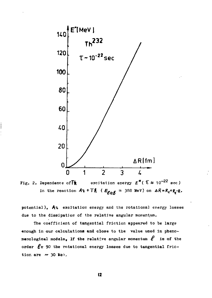



potential), Az excitation energy and the rotational energy losses due to the dissipation of the relative angular momentum.

The coefficient of tangential friction appeared to be large enough in our calculations and close to the value used in phenomenological models, If the relative angular momentum  $\ell$  is of the order  $\ell$   $\approx$  90 the rotational energy losses due to tangential friction are  $\sim$  30 MeV.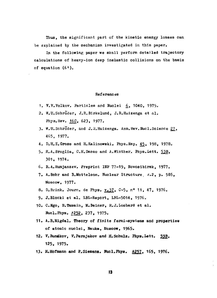Thus, the significant part of the kinetic energy losses can be explained by the mechanism investigated in this paper.

In the following paper we shall perform detailed trajectory calculations of heavy-ion deep inelastic collisions on the basis of equation (6<sup>1</sup> ).

#### References

- 1. V.V.Volkov. Particles and Nuclei 6, 1040, 1975.
- 2. «.U.Schroder, J.R.Birkelund, J.R.Huizenga et al. Phys.Hev. J6£, 623, 1977.
- 3. W.U.Schroder, and J.R.Huizenga. Ann. Hev. Mucl. Science 27, 465, 1977.
- 4. D.H.E.Gross and H.Kalinowski. Phys.Rep. 45, 198, 1978.
- 5. R.A. Broglia, C.H. Dasso and A. Winther. Phys. Lett. 53B. 301, 1974.
- 6. B.A.Rumjanzev. Preprint INP 77-19, Novosibirsk, 1977.
- 7. A.Bobr and B.Mottelson. Kuclear Structure, *т.2,* p. 585, Moscow, 1977.
- 8. D.Brink. Journ. de Phys. v.37, C-5, nº 11, 47. 1976.
- 9. J.Blocki et al. LBL-Report, LBL-5014, 1976.
- 10. C.Ngo, B.Tama in, K.Beiner, H.J.Lombard et al. Sucl.Phys. A252. 237, 1975.
- 11. A.B.Migdal. Theory of finite fermi-systems and properties of atomic nuclei, Hauka, Moscow, 1965.
- 12. V. Bundkov, V. Permjakov and H. Schulz. Phys. Lett. 59B. 125, 1975.
- 13. H.Hofmann and P.Siemens. Bucl.Pbya. A257. 165, 1976.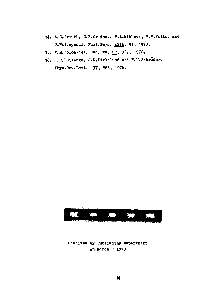- **14. A.O.Artukh, G.P.Gridnev, V.L.Mikheev, V.V.Volkov and J.Wilczynski. Nuol.Phys. A215. 91, 1973.**
- **15. V.K.Kolomijez. Jad.Pya, 28, 367, 1978.**
- 16. J.H.Huizenga, J.R.Birkelund and W.U.Schroder. Phys.**Rev.Lett.** *21,* 885, **1976.**



### **Received by Publishing Department on March 2 1979.**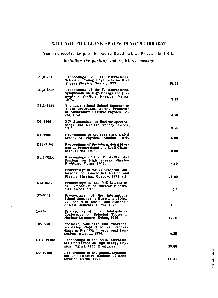### **WILL YOU FILL BLANK SPACES IN YOUR LIBRARY?**

Yon can receive by post the books listed below. Prices - in US **\$.** 

 $\bar{\gamma}$ 

including the packing and registered postage

| P1,2-7642  | Proceedings of the International<br>School of Young Physicists on High<br>Energy Physics. Gomel, 1973.                                        | 10.53 |
|------------|-----------------------------------------------------------------------------------------------------------------------------------------------|-------|
| DJ 2-8405  | Proceedings of the IV International<br>Symposium on High Energy and Ele-<br>mentary Particle Physics. Varna.<br>1974.                         | 3.89  |
| P1,2-8529  | The International School-Seminar of<br>Young Scientists. Actual Problems<br>of Elementary Particle Physics. So-<br>chi, 1974.                 | 4.70  |
| D6-8846    | XIV Symposium on Nuclear Spectro-<br>scopy and Nuclear Theory. Dubna,<br>1975.                                                                | 3.70  |
| E2-9086    | Proceedings of the 1975 JINR-CERN<br>School of Physics. Alushta, 1975.                                                                        | 16.00 |
| D13-9164   | Proceedings of the International Mee-<br>ting on Proportional and Drift Cham-<br>bers. Dubna, 1975.                                           | 10.00 |
| D1.2-9224  | Proceedings of the IV International<br>Seminar on High Energy Physics<br>Problems. Dubna, 1975.                                               | 4.80  |
|            | Proceedings of the VI European Con-<br>ference on Controlled Fusion and<br>Plasma Physics. Moscow, 1973, v.II.                                | 15.00 |
| D13-9287   | Proceedings of the VIII Internatio-<br>nal Symposium on Nuclear Electro-<br>nics. Dubna, 1975.                                                | 66    |
| D7-9734    | Proceedings of the International<br>School-Seminar on Reactions of Hea-<br>vy lons with Nuclei and Synthesis<br>of New Elements. Dubna, 1975. | 4.86  |
| D-9920     | the<br>International<br>Proceedings of<br>Conference on Selected Topics in<br>Nuclear Structure. Dubna, 1976.                                 | 15.00 |
| D2-9788    | Nonlocal, Nonlinear and Nonrenor-<br>malizable Field Theories. Procee-<br>dings of the IVth International Sym-<br>posium. Alushta, 1976.      | 4.20  |
| D1.2-10400 | Proceedings of the XVIII Internatio-<br>nal Conference on High Energy Phy-<br>sics. Tbilisi, 1976, 2 volumes.                                 | 25.00 |
| D9-10500   | Proceedings of the Second Symposi-<br>um on Collective Methods of Acce-<br>ieration. Dubna, 1976.                                             | 11.00 |

**College State** 

 $\pm$  $\ddot{\cdot}$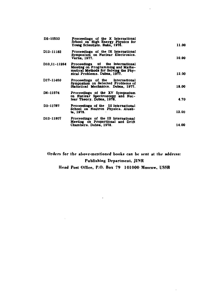| D2-10533     | Proceedings of the X International<br>School on High Energy Physics for<br>Young Scientists. Baku. 1976.                                      | 11.00 |
|--------------|-----------------------------------------------------------------------------------------------------------------------------------------------|-------|
| D13-11182    | Proceedings of the IX International<br>Symposium on Nuclear Electronics.<br>Varna, 1977.                                                      | 10.00 |
| D10,11-11264 | Proceedings of the international<br>Meeting on Programming and Mathe-<br>matical Methods for Solving the Phy-<br>sical Problems. Dubna, 1977. | 13.00 |
| D17-11420    | Proceedings of the International<br>Symposium on Selected Problems of<br>Statistical Mechanics. Dubna, 1977.                                  | 18.00 |
| D6-11574     | Proceedings of the XV Symposium<br>on Nuclear Spectroscopy and Nuc-<br>lear Theory. Dubna, 1975.                                              | 4.70  |
| D3-11787     | Proceedings of the III International<br>School on Neutron Physics. Aiush-<br>ta, 1978.                                                        | 12.00 |
| D13-11807    | Proceedings of the III International<br>Meeting on Proportional and Drift<br>Chambers. Dubna, 1978.                                           | 14.00 |

 $\overline{a}$ 

 $\mathbf{r}$ 

**Orders for Ihr above-mentioned books can be sent at the address: Publishing Department, JINR** 

**Head Post Office, P.O. Box 79 101000 Moscow, USSR** 

 $\sim 10^{-11}$ 

 $\sim 10^{-11}$